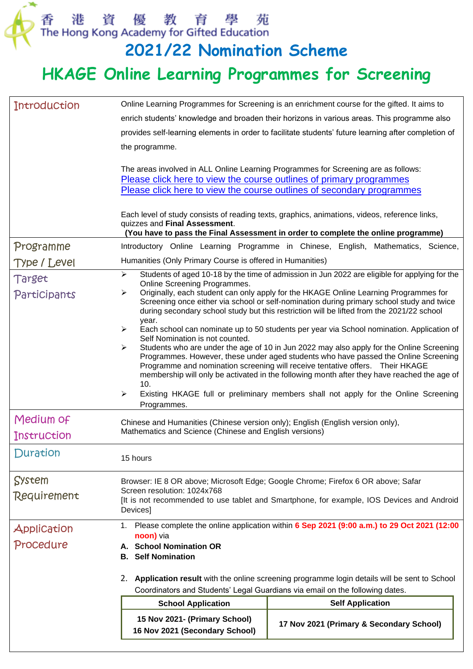香港資優教育學苑<br>The Hong Kong Academy for Gifted Education<br>**2021/22 Nomination Scheme** 

## **HKAGE Online Learning Programmes for Screening**

| <b>Introduction</b>                                                                                                                                                                                                                       |                                                                                                                                                                                                                                                                                                                                                                                                                                                           | Online Learning Programmes for Screening is an enrichment course for the gifted. It aims to                                                                                                                                                                                                                                                                                                                                                                                                                                                         |  |
|-------------------------------------------------------------------------------------------------------------------------------------------------------------------------------------------------------------------------------------------|-----------------------------------------------------------------------------------------------------------------------------------------------------------------------------------------------------------------------------------------------------------------------------------------------------------------------------------------------------------------------------------------------------------------------------------------------------------|-----------------------------------------------------------------------------------------------------------------------------------------------------------------------------------------------------------------------------------------------------------------------------------------------------------------------------------------------------------------------------------------------------------------------------------------------------------------------------------------------------------------------------------------------------|--|
|                                                                                                                                                                                                                                           | enrich students' knowledge and broaden their horizons in various areas. This programme also                                                                                                                                                                                                                                                                                                                                                               |                                                                                                                                                                                                                                                                                                                                                                                                                                                                                                                                                     |  |
|                                                                                                                                                                                                                                           | provides self-learning elements in order to facilitate students' future learning after completion of                                                                                                                                                                                                                                                                                                                                                      |                                                                                                                                                                                                                                                                                                                                                                                                                                                                                                                                                     |  |
|                                                                                                                                                                                                                                           | the programme.                                                                                                                                                                                                                                                                                                                                                                                                                                            |                                                                                                                                                                                                                                                                                                                                                                                                                                                                                                                                                     |  |
|                                                                                                                                                                                                                                           | The areas involved in ALL Online Learning Programmes for Screening are as follows:<br>Please click here to view the course outlines of primary programmes<br>Please click here to view the course outlines of secondary programmes<br>Each level of study consists of reading texts, graphics, animations, videos, reference links,<br>quizzes and Final Assessment.<br>(You have to pass the Final Assessment in order to complete the online programme) |                                                                                                                                                                                                                                                                                                                                                                                                                                                                                                                                                     |  |
| Programme                                                                                                                                                                                                                                 |                                                                                                                                                                                                                                                                                                                                                                                                                                                           | Introductory Online Learning Programme in Chinese, English, Mathematics, Science,                                                                                                                                                                                                                                                                                                                                                                                                                                                                   |  |
| <b>Type / Level</b>                                                                                                                                                                                                                       | Humanities (Only Primary Course is offered in Humanities)                                                                                                                                                                                                                                                                                                                                                                                                 |                                                                                                                                                                                                                                                                                                                                                                                                                                                                                                                                                     |  |
| Target                                                                                                                                                                                                                                    | Students of aged 10-18 by the time of admission in Jun 2022 are eligible for applying for the<br>⋗                                                                                                                                                                                                                                                                                                                                                        |                                                                                                                                                                                                                                                                                                                                                                                                                                                                                                                                                     |  |
| Participants                                                                                                                                                                                                                              | Online Screening Programmes.<br>Originally, each student can only apply for the HKAGE Online Learning Programmes for<br>➤<br>Screening once either via school or self-nomination during primary school study and twice<br>during secondary school study but this restriction will be lifted from the 2021/22 school<br>year.                                                                                                                              |                                                                                                                                                                                                                                                                                                                                                                                                                                                                                                                                                     |  |
|                                                                                                                                                                                                                                           | ➤<br>Self Nomination is not counted.<br>➤<br>10.<br>➤<br>Programmes.                                                                                                                                                                                                                                                                                                                                                                                      | Each school can nominate up to 50 students per year via School nomination. Application of<br>Students who are under the age of 10 in Jun 2022 may also apply for the Online Screening<br>Programmes. However, these under aged students who have passed the Online Screening<br>Programme and nomination screening will receive tentative offers. Their HKAGE<br>membership will only be activated in the following month after they have reached the age of<br>Existing HKAGE full or preliminary members shall not apply for the Online Screening |  |
| Medium of                                                                                                                                                                                                                                 | Chinese and Humanities (Chinese version only); English (English version only),                                                                                                                                                                                                                                                                                                                                                                            |                                                                                                                                                                                                                                                                                                                                                                                                                                                                                                                                                     |  |
| <b>Instruction</b>                                                                                                                                                                                                                        | Mathematics and Science (Chinese and English versions)                                                                                                                                                                                                                                                                                                                                                                                                    |                                                                                                                                                                                                                                                                                                                                                                                                                                                                                                                                                     |  |
| Duration                                                                                                                                                                                                                                  | 15 hours                                                                                                                                                                                                                                                                                                                                                                                                                                                  |                                                                                                                                                                                                                                                                                                                                                                                                                                                                                                                                                     |  |
| System                                                                                                                                                                                                                                    | Browser: IE 8 OR above; Microsoft Edge; Google Chrome; Firefox 6 OR above; Safar                                                                                                                                                                                                                                                                                                                                                                          |                                                                                                                                                                                                                                                                                                                                                                                                                                                                                                                                                     |  |
| Requirement                                                                                                                                                                                                                               | Screen resolution: 1024x768<br>[It is not recommended to use tablet and Smartphone, for example, IOS Devices and Android<br>Devices]                                                                                                                                                                                                                                                                                                                      |                                                                                                                                                                                                                                                                                                                                                                                                                                                                                                                                                     |  |
| Application<br>Procedure                                                                                                                                                                                                                  | Please complete the online application within 6 Sep 2021 (9:00 a.m.) to 29 Oct 2021 (12:00<br>1.<br>noon) via<br><b>School Nomination OR</b><br>А.<br><b>Self Nomination</b><br>В.                                                                                                                                                                                                                                                                        |                                                                                                                                                                                                                                                                                                                                                                                                                                                                                                                                                     |  |
| Application result with the online screening programme login details will be sent to School<br>2.<br>Coordinators and Students' Legal Guardians via email on the following dates.<br><b>Self Application</b><br><b>School Application</b> |                                                                                                                                                                                                                                                                                                                                                                                                                                                           |                                                                                                                                                                                                                                                                                                                                                                                                                                                                                                                                                     |  |
|                                                                                                                                                                                                                                           |                                                                                                                                                                                                                                                                                                                                                                                                                                                           |                                                                                                                                                                                                                                                                                                                                                                                                                                                                                                                                                     |  |
|                                                                                                                                                                                                                                           | 15 Nov 2021- (Primary School)<br>16 Nov 2021 (Secondary School)                                                                                                                                                                                                                                                                                                                                                                                           | 17 Nov 2021 (Primary & Secondary School)                                                                                                                                                                                                                                                                                                                                                                                                                                                                                                            |  |
|                                                                                                                                                                                                                                           |                                                                                                                                                                                                                                                                                                                                                                                                                                                           |                                                                                                                                                                                                                                                                                                                                                                                                                                                                                                                                                     |  |